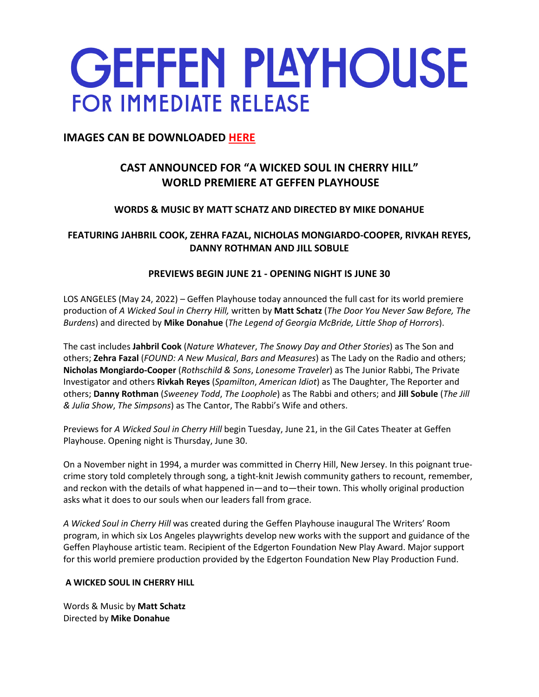# **GEFFEN PLAYHOUSE FOR IMMEDIATE RELEASE**

# **IMAGES CAN BE DOWNLOADED HERE**

# **CAST ANNOUNCED FOR "A WICKED SOUL IN CHERRY HILL" WORLD PREMIERE AT GEFFEN PLAYHOUSE**

# **WORDS & MUSIC BY MATT SCHATZ AND DIRECTED BY MIKE DONAHUE**

## **FEATURING JAHBRIL COOK, ZEHRA FAZAL, NICHOLAS MONGIARDO-COOPER, RIVKAH REYES, DANNY ROTHMAN AND JILL SOBULE**

## **PREVIEWS BEGIN JUNE 21 - OPENING NIGHT IS JUNE 30**

LOS ANGELES (May 24, 2022) – Geffen Playhouse today announced the full cast for its world premiere production of *A Wicked Soul in Cherry Hill,* written by **Matt Schatz** (*The Door You Never Saw Before, The Burdens*) and directed by **Mike Donahue** (*The Legend of Georgia McBride, Little Shop of Horrors*).

The cast includes **Jahbril Cook** (*Nature Whatever*, *The Snowy Day and Other Stories*) as The Son and others; **Zehra Fazal** (*FOUND: A New Musical*, *Bars and Measures*) as The Lady on the Radio and others; **Nicholas Mongiardo-Cooper** (*Rothschild & Sons*, *Lonesome Traveler*) as The Junior Rabbi, The Private Investigator and others **Rivkah Reyes** (*Spamilton*, *American Idiot*) as The Daughter, The Reporter and others; **Danny Rothman** (*Sweeney Todd*, *The Loophole*) as The Rabbi and others; and **Jill Sobule** (*The Jill & Julia Show*, *The Simpsons*) as The Cantor, The Rabbi's Wife and others.

Previews for *A Wicked Soul in Cherry Hill* begin Tuesday, June 21, in the Gil Cates Theater at Geffen Playhouse. Opening night is Thursday, June 30.

On a November night in 1994, a murder was committed in Cherry Hill, New Jersey. In this poignant truecrime story told completely through song, a tight-knit Jewish community gathers to recount, remember, and reckon with the details of what happened in—and to—their town. This wholly original production asks what it does to our souls when our leaders fall from grace.

*A Wicked Soul in Cherry Hill* was created during the Geffen Playhouse inaugural The Writers' Room program, in which six Los Angeles playwrights develop new works with the support and guidance of the Geffen Playhouse artistic team. Recipient of the Edgerton Foundation New Play Award. Major support for this world premiere production provided by the Edgerton Foundation New Play Production Fund.

## **A WICKED SOUL IN CHERRY HILL**

Words & Music by **Matt Schatz** Directed by **Mike Donahue**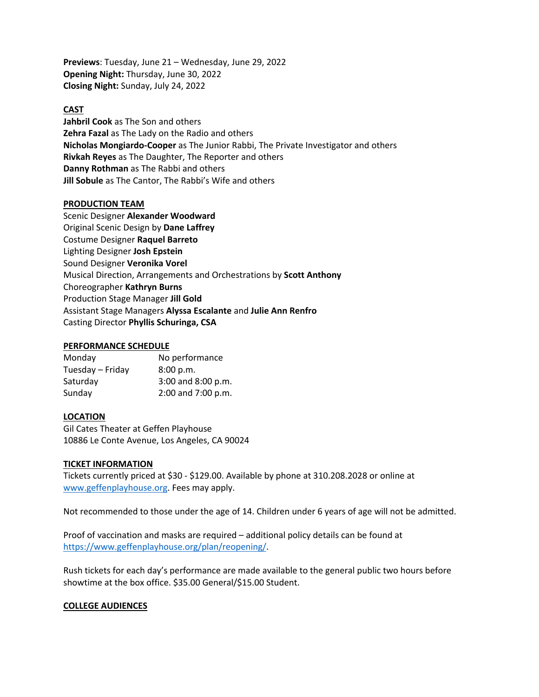**Previews**: Tuesday, June 21 – Wednesday, June 29, 2022 **Opening Night:** Thursday, June 30, 2022 **Closing Night:** Sunday, July 24, 2022

#### **CAST**

**Jahbril Cook** as The Son and others **Zehra Fazal** as The Lady on the Radio and others **Nicholas Mongiardo-Cooper** as The Junior Rabbi, The Private Investigator and others **Rivkah Reyes** as The Daughter, The Reporter and others **Danny Rothman** as The Rabbi and others **Jill Sobule** as The Cantor, The Rabbi's Wife and others

#### **PRODUCTION TEAM**

Scenic Designer **Alexander Woodward** Original Scenic Design by **Dane Laffrey** Costume Designer **Raquel Barreto** Lighting Designer **Josh Epstein** Sound Designer **Veronika Vorel** Musical Direction, Arrangements and Orchestrations by **Scott Anthony** Choreographer **Kathryn Burns** Production Stage Manager **Jill Gold** Assistant Stage Managers **Alyssa Escalante** and **Julie Ann Renfro** Casting Director **Phyllis Schuringa, CSA**

#### **PERFORMANCE SCHEDULE**

| Monday           | No performance     |
|------------------|--------------------|
| Tuesday – Friday | 8:00 p.m.          |
| Saturday         | 3:00 and 8:00 p.m. |
| Sunday           | 2:00 and 7:00 p.m. |

#### **LOCATION**

Gil Cates Theater at Geffen Playhouse 10886 Le Conte Avenue, Los Angeles, CA 90024

#### **TICKET INFORMATION**

Tickets currently priced at \$30 - \$129.00. Available by phone at 310.208.2028 or online at www.geffenplayhouse.org. Fees may apply.

Not recommended to those under the age of 14. Children under 6 years of age will not be admitted.

Proof of vaccination and masks are required – additional policy details can be found at https://www.geffenplayhouse.org/plan/reopening/.

Rush tickets for each day's performance are made available to the general public two hours before showtime at the box office. \$35.00 General/\$15.00 Student.

#### **COLLEGE AUDIENCES**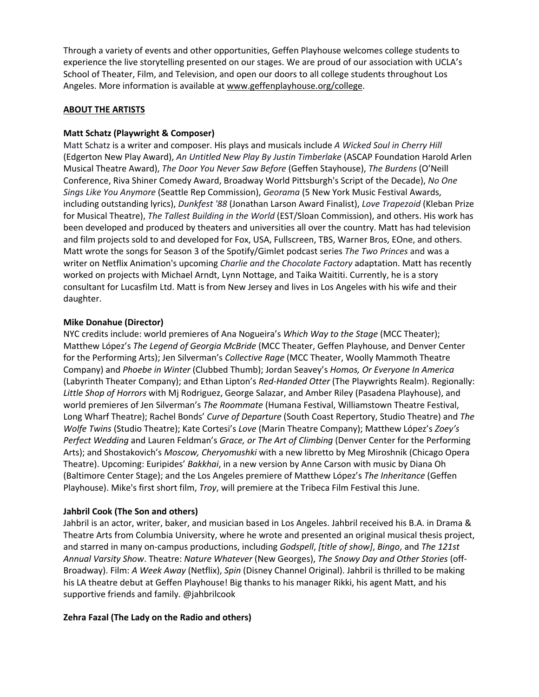Through a variety of events and other opportunities, Geffen Playhouse welcomes college students to experience the live storytelling presented on our stages. We are proud of our association with UCLA's School of Theater, Film, and Television, and open our doors to all college students throughout Los Angeles. More information is available at www.geffenplayhouse.org/college.

#### **ABOUT THE ARTISTS**

#### **Matt Schatz (Playwright & Composer)**

Matt Schatz is a writer and composer. His plays and musicals include *A Wicked Soul in Cherry Hill*  (Edgerton New Play Award), *An Untitled New Play By Justin Timberlake* (ASCAP Foundation Harold Arlen Musical Theatre Award), *The Door You Never Saw Before* (Geffen Stayhouse), *The Burdens* (O'Neill Conference, Riva Shiner Comedy Award, Broadway World Pittsburgh's Script of the Decade), *No One Sings Like You Anymore* (Seattle Rep Commission), *Georama* (5 New York Music Festival Awards, including outstanding lyrics), *Dunkfest '88* (Jonathan Larson Award Finalist), *Love Trapezoid* (Kleban Prize for Musical Theatre), *The Tallest Building in the World* (EST/Sloan Commission), and others. His work has been developed and produced by theaters and universities all over the country. Matt has had television and film projects sold to and developed for Fox, USA, Fullscreen, TBS, Warner Bros, EOne, and others. Matt wrote the songs for Season 3 of the Spotify/Gimlet podcast series *The Two Princes* and was a writer on Netflix Animation's upcoming *Charlie and the Chocolate Factory* adaptation. Matt has recently worked on projects with Michael Arndt, Lynn Nottage, and Taika Waititi. Currently, he is a story consultant for Lucasfilm Ltd. Matt is from New Jersey and lives in Los Angeles with his wife and their daughter.

#### **Mike Donahue (Director)**

NYC credits include: world premieres of Ana Nogueira's *Which Way to the Stage* (MCC Theater); Matthew López's *The Legend of Georgia McBride* (MCC Theater, Geffen Playhouse, and Denver Center for the Performing Arts); Jen Silverman's *Collective Rage* (MCC Theater, Woolly Mammoth Theatre Company) and *Phoebe in Winter* (Clubbed Thumb); Jordan Seavey's *Homos, Or Everyone In America* (Labyrinth Theater Company); and Ethan Lipton's *Red-Handed Otter* (The Playwrights Realm). Regionally: *Little Shop of Horrors* with Mj Rodriguez, George Salazar, and Amber Riley (Pasadena Playhouse), and world premieres of Jen Silverman's *The Roommate* (Humana Festival, Williamstown Theatre Festival, Long Wharf Theatre); Rachel Bonds' *Curve of Departure* (South Coast Repertory, Studio Theatre) and *The Wolfe Twins* (Studio Theatre); Kate Cortesi's *Love* (Marin Theatre Company); Matthew López's *Zoey's Perfect Wedding* and Lauren Feldman's *Grace, or The Art of Climbing* (Denver Center for the Performing Arts); and Shostakovich's *Moscow, Cheryomushki* with a new libretto by Meg Miroshnik (Chicago Opera Theatre). Upcoming: Euripides' *Bakkhai*, in a new version by Anne Carson with music by Diana Oh (Baltimore Center Stage); and the Los Angeles premiere of Matthew López's *The Inheritance* (Geffen Playhouse). Mike's first short film, *Troy*, will premiere at the Tribeca Film Festival this June.

#### **Jahbril Cook (The Son and others)**

Jahbril is an actor, writer, baker, and musician based in Los Angeles. Jahbril received his B.A. in Drama & Theatre Arts from Columbia University, where he wrote and presented an original musical thesis project, and starred in many on-campus productions, including *Godspell*, *[title of show]*, *Bingo*, and *The 121st Annual Varsity Show*. Theatre: *Nature Whatever* (New Georges), *The Snowy Day and Other Stories* (off-Broadway). Film: *A Week Away* (Netflix), *Spin* (Disney Channel Original). Jahbril is thrilled to be making his LA theatre debut at Geffen Playhouse! Big thanks to his manager Rikki, his agent Matt, and his supportive friends and family. @jahbrilcook

#### **Zehra Fazal (The Lady on the Radio and others)**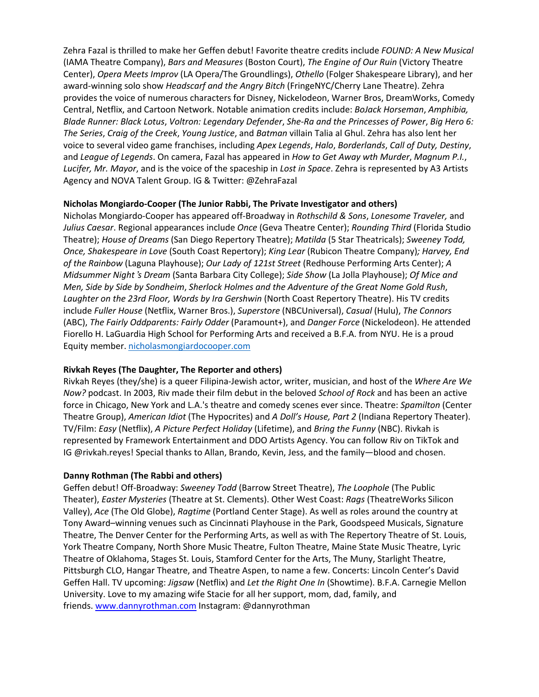Zehra Fazal is thrilled to make her Geffen debut! Favorite theatre credits include *FOUND: A New Musical* (IAMA Theatre Company), *Bars and Measures* (Boston Court), *The Engine of Our Ruin* (Victory Theatre Center), *Opera Meets Improv* (LA Opera/The Groundlings), *Othello* (Folger Shakespeare Library), and her award-winning solo show *Headscarf and the Angry Bitch* (FringeNYC/Cherry Lane Theatre). Zehra provides the voice of numerous characters for Disney, Nickelodeon, Warner Bros, DreamWorks, Comedy Central, Netflix, and Cartoon Network. Notable animation credits include: *BoJack Horseman*, *Amphibia, Blade Runner: Black Lotus*, *Voltron: Legendary Defender*, *She-Ra and the Princesses of Power*, *Big Hero 6: The Series*, *Craig of the Creek*, *Young Justice*, and *Batman* villain Talia al Ghul. Zehra has also lent her voice to several video game franchises, including *Apex Legends*, *Halo*, *Borderlands*, *Call of Duty, Destiny*, and *League of Legends*. On camera, Fazal has appeared in *How to Get Away wth Murder*, *Magnum P.I.*, *Lucifer, Mr. Mayor*, and is the voice of the spaceship in *Lost in Space*. Zehra is represented by A3 Artists Agency and NOVA Talent Group. IG & Twitter: @ZehraFazal

#### **Nicholas Mongiardo-Cooper (The Junior Rabbi, The Private Investigator and others)**

Nicholas Mongiardo-Cooper has appeared off-Broadway in *Rothschild & Sons*, *Lonesome Traveler,* and *Julius Caesar*. Regional appearances include *Once* (Geva Theatre Center); *Rounding Third* (Florida Studio Theatre); *House of Dreams* (San Diego Repertory Theatre); *Matilda* (5 Star Theatricals); *Sweeney Todd, Once, Shakespeare in Love* (South Coast Repertory); *King Lear* (Rubicon Theatre Company)*; Harvey, End of the Rainbow* (Laguna Playhouse); *Our Lady of 121st Street* (Redhouse Performing Arts Center); *A Midsummer Night*'*s Dream* (Santa Barbara City College); *Side Show* (La Jolla Playhouse); *Of Mice and Men, Side by Side by Sondheim*, *Sherlock Holmes and the Adventure of the Great Nome Gold Rush*, *Laughter on the 23rd Floor, Words by Ira Gershwin* (North Coast Repertory Theatre). His TV credits include *Fuller House* (Netflix, Warner Bros.), *Superstore* (NBCUniversal), *Casual* (Hulu), *The Connors* (ABC), *The Fairly Oddparents: Fairly Odder* (Paramount+), and *Danger Force* (Nickelodeon). He attended Fiorello H. LaGuardia High School for Performing Arts and received a B.F.A. from NYU. He is a proud Equity member. nicholasmongiardocooper.com

## **Rivkah Reyes (The Daughter, The Reporter and others)**

Rivkah Reyes (they/she) is a queer Filipina-Jewish actor, writer, musician, and host of the *Where Are We Now?* podcast. In 2003, Riv made their film debut in the beloved *School of Rock* and has been an active force in Chicago, New York and L.A.'s theatre and comedy scenes ever since. Theatre: *Spamilton* (Center Theatre Group), *American Idiot* (The Hypocrites) and *A Doll's House, Part 2* (Indiana Repertory Theater). TV/Film: *Easy* (Netflix), *A Picture Perfect Holiday* (Lifetime), and *Bring the Funny* (NBC). Rivkah is represented by Framework Entertainment and DDO Artists Agency. You can follow Riv on TikTok and IG @rivkah.reyes! Special thanks to Allan, Brando, Kevin, Jess, and the family—blood and chosen.

#### **Danny Rothman (The Rabbi and others)**

Geffen debut! Off-Broadway: *Sweeney Todd* (Barrow Street Theatre), *The Loophole* (The Public Theater), *Easter Mysteries* (Theatre at St. Clements). Other West Coast: *Rags* (TheatreWorks Silicon Valley), *Ace* (The Old Globe), *Ragtime* (Portland Center Stage). As well as roles around the country at Tony Award–winning venues such as Cincinnati Playhouse in the Park, Goodspeed Musicals, Signature Theatre, The Denver Center for the Performing Arts, as well as with The Repertory Theatre of St. Louis, York Theatre Company, North Shore Music Theatre, Fulton Theatre, Maine State Music Theatre, Lyric Theatre of Oklahoma, Stages St. Louis, Stamford Center for the Arts, The Muny, Starlight Theatre, Pittsburgh CLO, Hangar Theatre, and Theatre Aspen, to name a few. Concerts: Lincoln Center's David Geffen Hall. TV upcoming: *Jigsaw* (Netflix) and *Let the Right One In* (Showtime). B.F.A. Carnegie Mellon University. Love to my amazing wife Stacie for all her support, mom, dad, family, and friends. www.dannyrothman.com Instagram: @dannyrothman